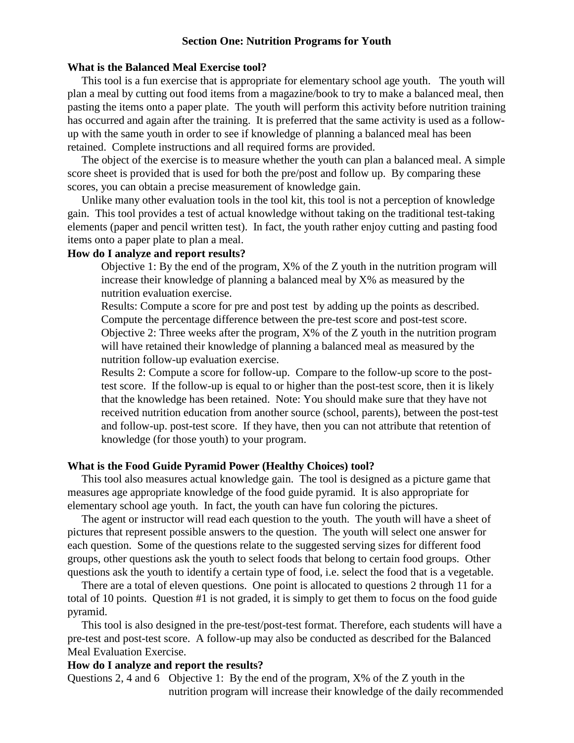## **Section One: Nutrition Programs for Youth**

#### **What is the Balanced Meal Exercise tool?**

 This tool is a fun exercise that is appropriate for elementary school age youth. The youth will plan a meal by cutting out food items from a magazine/book to try to make a balanced meal, then pasting the items onto a paper plate. The youth will perform this activity before nutrition training has occurred and again after the training. It is preferred that the same activity is used as a followup with the same youth in order to see if knowledge of planning a balanced meal has been retained. Complete instructions and all required forms are provided.

 The object of the exercise is to measure whether the youth can plan a balanced meal. A simple score sheet is provided that is used for both the pre/post and follow up. By comparing these scores, you can obtain a precise measurement of knowledge gain.

 Unlike many other evaluation tools in the tool kit, this tool is not a perception of knowledge gain. This tool provides a test of actual knowledge without taking on the traditional test-taking elements (paper and pencil written test). In fact, the youth rather enjoy cutting and pasting food items onto a paper plate to plan a meal.

## **How do I analyze and report results?**

Objective 1: By the end of the program, X% of the Z youth in the nutrition program will increase their knowledge of planning a balanced meal by X% as measured by the nutrition evaluation exercise.

Results: Compute a score for pre and post test by adding up the points as described. Compute the percentage difference between the pre-test score and post-test score. Objective 2: Three weeks after the program, X% of the Z youth in the nutrition program will have retained their knowledge of planning a balanced meal as measured by the nutrition follow-up evaluation exercise.

Results 2: Compute a score for follow-up. Compare to the follow-up score to the posttest score. If the follow-up is equal to or higher than the post-test score, then it is likely that the knowledge has been retained. Note: You should make sure that they have not received nutrition education from another source (school, parents), between the post-test and follow-up. post-test score. If they have, then you can not attribute that retention of knowledge (for those youth) to your program.

#### **What is the Food Guide Pyramid Power (Healthy Choices) tool?**

 This tool also measures actual knowledge gain. The tool is designed as a picture game that measures age appropriate knowledge of the food guide pyramid. It is also appropriate for elementary school age youth. In fact, the youth can have fun coloring the pictures.

 The agent or instructor will read each question to the youth. The youth will have a sheet of pictures that represent possible answers to the question. The youth will select one answer for each question. Some of the questions relate to the suggested serving sizes for different food groups, other questions ask the youth to select foods that belong to certain food groups. Other questions ask the youth to identify a certain type of food, i.e. select the food that is a vegetable.

 There are a total of eleven questions. One point is allocated to questions 2 through 11 for a total of 10 points. Question #1 is not graded, it is simply to get them to focus on the food guide pyramid.

 This tool is also designed in the pre-test/post-test format. Therefore, each students will have a pre-test and post-test score. A follow-up may also be conducted as described for the Balanced Meal Evaluation Exercise.

#### **How do I analyze and report the results?**

Questions 2, 4 and 6 Objective 1: By the end of the program, X% of the Z youth in the nutrition program will increase their knowledge of the daily recommended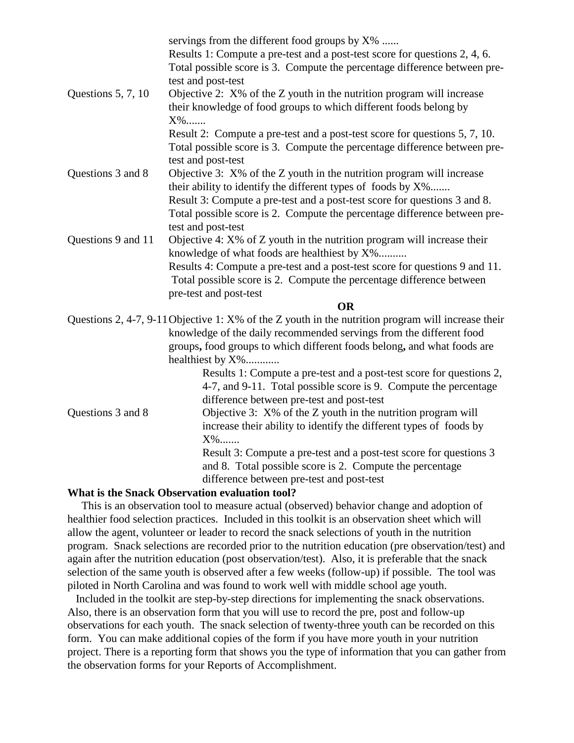| Questions 5, 7, 10                    | servings from the different food groups by X%<br>Results 1: Compute a pre-test and a post-test score for questions 2, 4, 6.<br>Total possible score is 3. Compute the percentage difference between pre-<br>test and post-test<br>Objective 2: $X\%$ of the Z youth in the nutrition program will increase<br>their knowledge of food groups to which different foods belong by<br>X% |
|---------------------------------------|---------------------------------------------------------------------------------------------------------------------------------------------------------------------------------------------------------------------------------------------------------------------------------------------------------------------------------------------------------------------------------------|
|                                       | Result 2: Compute a pre-test and a post-test score for questions 5, 7, 10.<br>Total possible score is 3. Compute the percentage difference between pre-                                                                                                                                                                                                                               |
|                                       | test and post-test                                                                                                                                                                                                                                                                                                                                                                    |
| Questions 3 and 8                     | Objective 3: X% of the Z youth in the nutrition program will increase<br>their ability to identify the different types of foods by X%                                                                                                                                                                                                                                                 |
|                                       | Result 3: Compute a pre-test and a post-test score for questions 3 and 8.<br>Total possible score is 2. Compute the percentage difference between pre-                                                                                                                                                                                                                                |
|                                       | test and post-test                                                                                                                                                                                                                                                                                                                                                                    |
| Questions 9 and 11                    | Objective 4: $X\%$ of $Z$ youth in the nutrition program will increase their<br>knowledge of what foods are healthiest by X%                                                                                                                                                                                                                                                          |
|                                       | Results 4: Compute a pre-test and a post-test score for questions 9 and 11.<br>Total possible score is 2. Compute the percentage difference between                                                                                                                                                                                                                                   |
|                                       | pre-test and post-test                                                                                                                                                                                                                                                                                                                                                                |
|                                       | <b>OR</b>                                                                                                                                                                                                                                                                                                                                                                             |
|                                       | Questions 2, 4-7, 9-11 Objective 1: X% of the Z youth in the nutrition program will increase their<br>knowledge of the daily recommended servings from the different food<br>groups, food groups to which different foods belong, and what foods are<br>healthiest by X%                                                                                                              |
|                                       | Results 1: Compute a pre-test and a post-test score for questions 2,<br>4-7, and 9-11. Total possible score is 9. Compute the percentage<br>difference between pre-test and post-test                                                                                                                                                                                                 |
| Questions 3 and 8                     | Objective $3: X\%$ of the Z youth in the nutrition program will<br>increase their ability to identify the different types of foods by<br>$X\%$                                                                                                                                                                                                                                        |
|                                       | Result 3: Compute a pre-test and a post-test score for questions 3<br>and 8. Total possible score is 2. Compute the percentage<br>difference between pre-test and post-test                                                                                                                                                                                                           |
| $\mathbf{X} \mathbf{X}$<br>$\sqrt{ }$ |                                                                                                                                                                                                                                                                                                                                                                                       |

# **What is the Snack Observation evaluation tool?**

 This is an observation tool to measure actual (observed) behavior change and adoption of healthier food selection practices. Included in this toolkit is an observation sheet which will allow the agent, volunteer or leader to record the snack selections of youth in the nutrition program. Snack selections are recorded prior to the nutrition education (pre observation/test) and again after the nutrition education (post observation/test). Also, it is preferable that the snack selection of the same youth is observed after a few weeks (follow-up) if possible. The tool was piloted in North Carolina and was found to work well with middle school age youth.

 Included in the toolkit are step-by-step directions for implementing the snack observations. Also, there is an observation form that you will use to record the pre, post and follow-up observations for each youth. The snack selection of twenty-three youth can be recorded on this form. You can make additional copies of the form if you have more youth in your nutrition project. There is a reporting form that shows you the type of information that you can gather from the observation forms for your Reports of Accomplishment.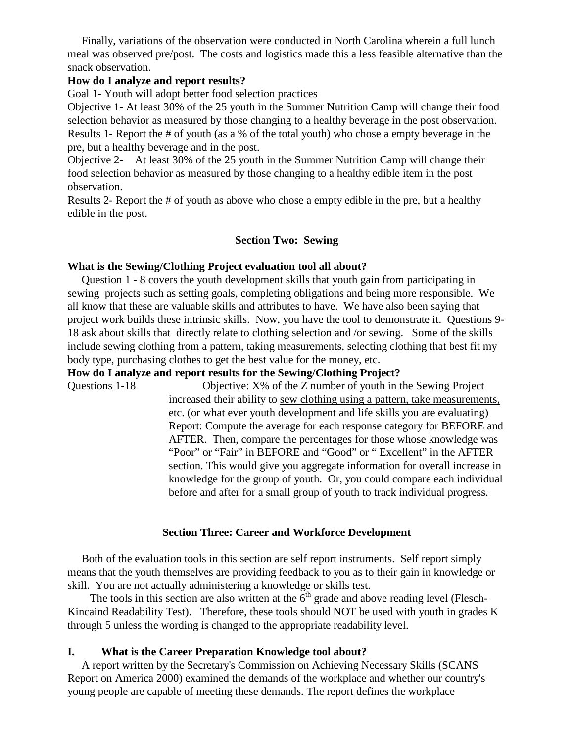Finally, variations of the observation were conducted in North Carolina wherein a full lunch meal was observed pre/post. The costs and logistics made this a less feasible alternative than the snack observation.

# **How do I analyze and report results?**

Goal 1- Youth will adopt better food selection practices

Objective 1- At least 30% of the 25 youth in the Summer Nutrition Camp will change their food selection behavior as measured by those changing to a healthy beverage in the post observation. Results 1- Report the # of youth (as a % of the total youth) who chose a empty beverage in the pre, but a healthy beverage and in the post.

Objective 2- At least 30% of the 25 youth in the Summer Nutrition Camp will change their food selection behavior as measured by those changing to a healthy edible item in the post observation.

Results 2- Report the # of youth as above who chose a empty edible in the pre, but a healthy edible in the post.

## **Section Two: Sewing**

## **What is the Sewing/Clothing Project evaluation tool all about?**

 Question 1 - 8 covers the youth development skills that youth gain from participating in sewing projects such as setting goals, completing obligations and being more responsible. We all know that these are valuable skills and attributes to have. We have also been saying that project work builds these intrinsic skills. Now, you have the tool to demonstrate it. Questions 9- 18 ask about skills that directly relate to clothing selection and /or sewing. Some of the skills include sewing clothing from a pattern, taking measurements, selecting clothing that best fit my body type, purchasing clothes to get the best value for the money, etc.

### **How do I analyze and report results for the Sewing/Clothing Project?**

Questions 1-18 Objective: X% of the Z number of youth in the Sewing Project increased their ability to sew clothing using a pattern, take measurements, etc. (or what ever youth development and life skills you are evaluating) Report: Compute the average for each response category for BEFORE and AFTER. Then, compare the percentages for those whose knowledge was "Poor" or "Fair" in BEFORE and "Good" or " Excellent" in the AFTER section. This would give you aggregate information for overall increase in knowledge for the group of youth. Or, you could compare each individual before and after for a small group of youth to track individual progress.

#### **Section Three: Career and Workforce Development**

 Both of the evaluation tools in this section are self report instruments. Self report simply means that the youth themselves are providing feedback to you as to their gain in knowledge or skill. You are not actually administering a knowledge or skills test.

The tools in this section are also written at the  $6<sup>th</sup>$  grade and above reading level (Flesch-Kincaind Readability Test). Therefore, these tools should NOT be used with youth in grades K through 5 unless the wording is changed to the appropriate readability level.

# **I. What is the Career Preparation Knowledge tool about?**

 A report written by the Secretary's Commission on Achieving Necessary Skills (SCANS Report on America 2000) examined the demands of the workplace and whether our country's young people are capable of meeting these demands. The report defines the workplace